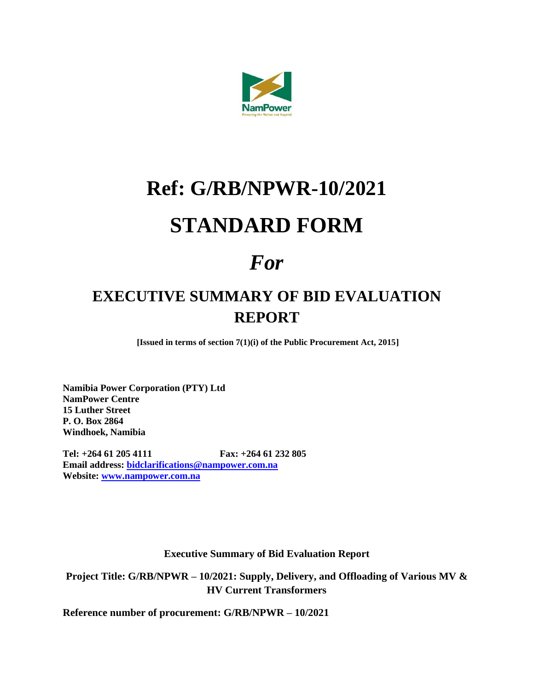

## **Ref: G/RB/NPWR-10/2021 STANDARD FORM**

## *For*

## **EXECUTIVE SUMMARY OF BID EVALUATION REPORT**

**[Issued in terms of section 7(1)(i) of the Public Procurement Act, 2015]**

**Namibia Power Corporation (PTY) Ltd NamPower Centre 15 Luther Street P. O. Box 2864 Windhoek, Namibia**

**Tel: +264 61 205 4111 Fax: +264 61 232 805 Email address: [bidclarifications@nampower.com.na](mailto:bidclarifications@nampower.com.na) Website: [www.nampower.com.na](http://www.nampower.com.na/)**

**Executive Summary of Bid Evaluation Report**

**Project Title: G/RB/NPWR – 10/2021: Supply, Delivery, and Offloading of Various MV & HV Current Transformers**

**Reference number of procurement: G/RB/NPWR – 10/2021**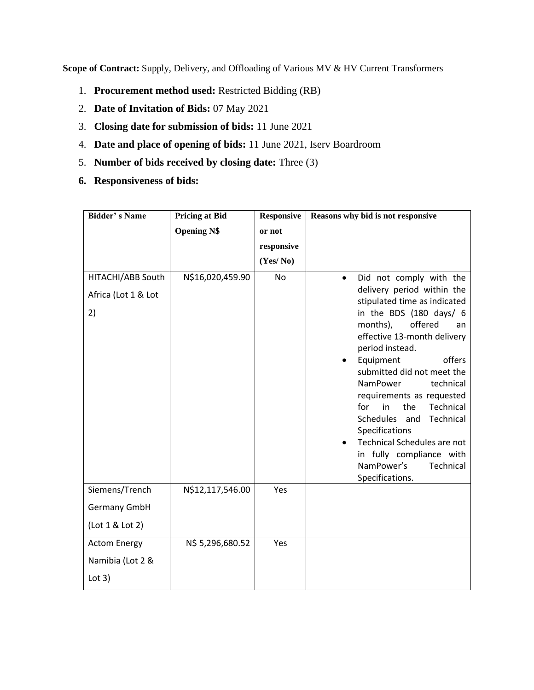**Scope of Contract:** Supply, Delivery, and Offloading of Various MV & HV Current Transformers

- 1. **Procurement method used:** Restricted Bidding (RB)
- 2. **Date of Invitation of Bids:** 07 May 2021
- 3. **Closing date for submission of bids:** 11 June 2021
- 4. **Date and place of opening of bids:** 11 June 2021, Iserv Boardroom
- 5. **Number of bids received by closing date:** Three (3)
- **6. Responsiveness of bids:**

| <b>Bidder's Name</b>                                | <b>Pricing at Bid</b> | <b>Responsive</b> | Reasons why bid is not responsive                                                                                                                                                                                                                                                    |  |  |
|-----------------------------------------------------|-----------------------|-------------------|--------------------------------------------------------------------------------------------------------------------------------------------------------------------------------------------------------------------------------------------------------------------------------------|--|--|
|                                                     | <b>Opening N\$</b>    | or not            |                                                                                                                                                                                                                                                                                      |  |  |
|                                                     |                       | responsive        |                                                                                                                                                                                                                                                                                      |  |  |
|                                                     |                       | (Yes/No)          |                                                                                                                                                                                                                                                                                      |  |  |
| HITACHI/ABB South<br>Africa (Lot 1 & Lot<br>2)      | N\$16,020,459.90      | No                | Did not comply with the<br>$\bullet$<br>delivery period within the<br>stipulated time as indicated<br>in the BDS (180 days/ 6<br>offered<br>months),<br>an<br>effective 13-month delivery<br>period instead.<br>Equipment<br>offers<br>٠                                             |  |  |
|                                                     |                       |                   | submitted did not meet the<br>technical<br>NamPower<br>requirements as requested<br>for<br>in<br>the<br>Technical<br>Schedules<br>and<br>Technical<br>Specifications<br><b>Technical Schedules are not</b><br>in fully compliance with<br>NamPower's<br>Technical<br>Specifications. |  |  |
| Siemens/Trench<br>Germany GmbH<br>(Lot 1 & Lot 2)   | N\$12,117,546.00      | Yes               |                                                                                                                                                                                                                                                                                      |  |  |
| <b>Actom Energy</b><br>Namibia (Lot 2 &<br>Lot $3)$ | N\$ 5,296,680.52      | Yes               |                                                                                                                                                                                                                                                                                      |  |  |